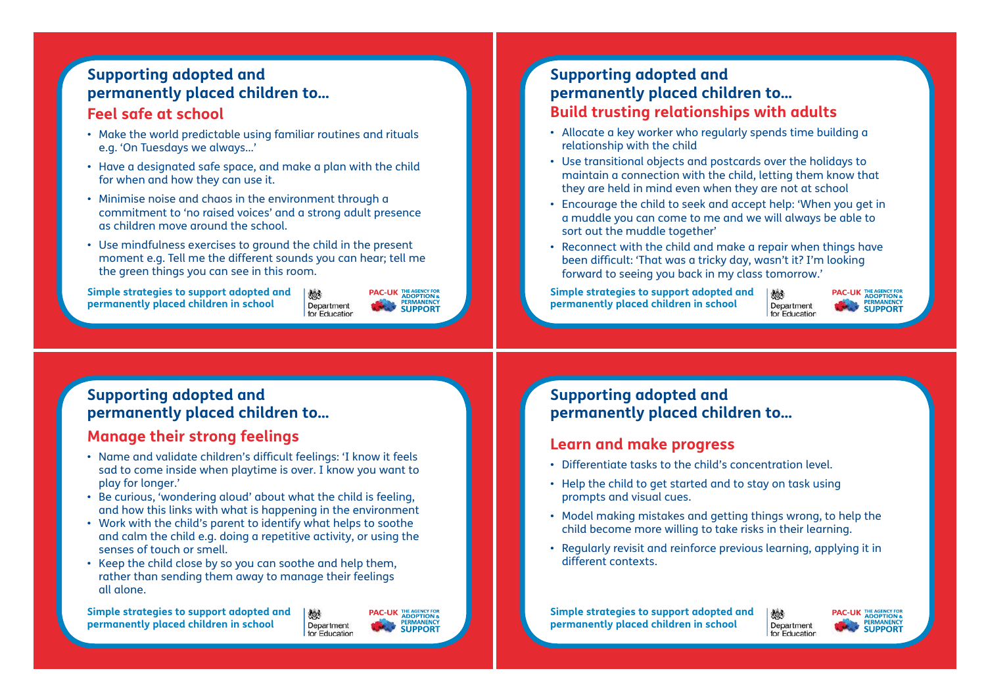# **Supporting adopted and permanently placed children to...**

#### **Feel safe at school**

- Make the world predictable using familiar routines and rituals e.g. 'On Tuesdays we always...'
- Have a designated safe space, and make a plan with the child for when and how they can use it.
- Minimise noise and chaos in the environment through a commitment to 'no raised voices' and a strong adult presence as children move around the school.
- Use mindfulness exercises to ground the child in the present moment e.g. Tell me the different sounds you can hear; tell me the green things you can see in this room. **Supporting adopted and permanently placed children to...**<br> **Supporting adopted and permanently placed child<br>
• Microsofte weaker and permanently placed child<br>
• Hive a designated safe space, and make a plan with the child**

**Simple strategies to support adopted and permanently placed children in school**

# **permanently placed children to... Build trusting relationships with adults**

- Allocate a key worker who regularly spends time building a relationship with the child
- Use transitional objects and postcards over the holidays to maintain a connection with the child, letting them know that they are held in mind even when they are not at school
- Encourage the child to seek and accept help: 'When you get in a muddle you can come to me and we will always be able to sort out the muddle together'
- Reconnect with the child and make a repair when things have been difficult: 'That was a tricky day, wasn't it? I'm looking forward to seeing you back in my class tomorrow.'

**Simple strategies to support adopted and permanently placed children in school**

**PAC-UK THE AGENCY FOR ADOPTION &**<br> **ERMANENCY**<br> **SUPPORT** Department for Education

炒

#### **Supporting adopted and permanently placed children to...**

#### **Manage their strong feelings**

- Name and validate children's difficult feelings: 'I know it feels sad to come inside when playtime is over. I know you want to play for longer.'
- Be curious, 'wondering aloud' about what the child is feeling, and how this links with what is happening in the environment
- Work with the child's parent to identify what helps to soothe and calm the child e.g. doing a repetitive activity, or using the senses of touch or smell.
- Keep the child close by so you can soothe and help them, rather than sending them away to manage their feelings all alone.

**Simple strategies to support adopted and permanently placed children in school**

THE AGENCY FOR<br>ADOPTION &<br>PERMANENCY **PAC-UK** Department **SUPPORT** for Education

勉

### **Supporting adopted and permanently placed children to...**

#### **Learn and make progress**

- Differentiate tasks to the child's concentration level.
- Help the child to get started and to stay on task using prompts and visual cues.
- Model making mistakes and getting things wrong, to help the child become more willing to take risks in their learning.
- Regularly revisit and reinforce previous learning, applying it in different contexts.

**Simple strategies to support adopted and permanently placed children in school**

沙 Department for Education